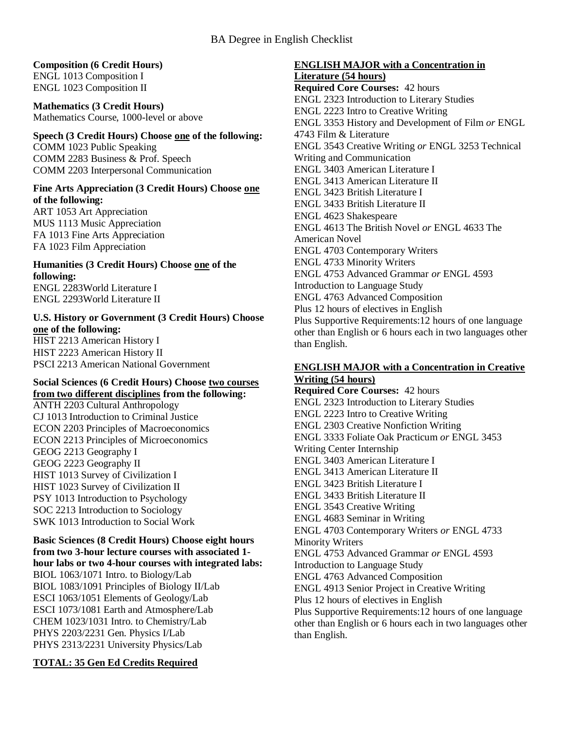## **Composition (6 Credit Hours)**

ENGL 1013 Composition I ENGL 1023 Composition II

# **Mathematics (3 Credit Hours)**

Mathematics Course, 1000-level or above

# **Speech (3 Credit Hours) Choose one of the following:**

COMM 1023 Public Speaking COMM 2283 Business & Prof. Speech COMM 2203 Interpersonal Communication

### **Fine Arts Appreciation (3 Credit Hours) Choose one of the following:**

ART 1053 Art Appreciation MUS 1113 Music Appreciation FA 1013 Fine Arts Appreciation FA 1023 Film Appreciation

# **Humanities (3 Credit Hours) Choose one of the following:**

ENGL 2283World Literature I ENGL 2293World Literature II

### **U.S. History or Government (3 Credit Hours) Choose one of the following:** HIST 2213 American History I HIST 2223 American History II PSCI 2213 American National Government

#### **Social Sciences (6 Credit Hours) Choose two courses from two different disciplines from the following:**

ANTH 2203 Cultural Anthropology CJ 1013 Introduction to Criminal Justice ECON 2203 Principles of Macroeconomics ECON 2213 Principles of Microeconomics GEOG 2213 Geography I GEOG 2223 Geography II HIST 1013 Survey of Civilization I HIST 1023 Survey of Civilization II PSY 1013 Introduction to Psychology SOC 2213 Introduction to Sociology SWK 1013 Introduction to Social Work

### **Basic Sciences (8 Credit Hours) Choose eight hours from two 3-hour lecture courses with associated 1 hour labs or two 4-hour courses with integrated labs:** BIOL 1063/1071 Intro. to Biology/Lab BIOL 1083/1091 Principles of Biology II/Lab ESCI 1063/1051 Elements of Geology/Lab ESCI 1073/1081 Earth and Atmosphere/Lab CHEM 1023/1031 Intro. to Chemistry/Lab PHYS 2203/2231 Gen. Physics I/Lab PHYS 2313/2231 University Physics/Lab

### **TOTAL: 35 Gen Ed Credits Required**

# **ENGLISH MAJOR with a Concentration in Literature (54 hours)**

**Required Core Courses:** 42 hours ENGL 2323 Introduction to Literary Studies ENGL 2223 Intro to Creative Writing ENGL 3353 History and Development of Film *or* ENGL 4743 Film & Literature ENGL 3543 Creative Writing *or* ENGL 3253 Technical Writing and Communication ENGL 3403 American Literature I ENGL 3413 American Literature II ENGL 3423 British Literature I ENGL 3433 British Literature II ENGL 4623 Shakespeare ENGL 4613 The British Novel *or* ENGL 4633 The American Novel ENGL 4703 Contemporary Writers ENGL 4733 Minority Writers ENGL 4753 Advanced Grammar *or* ENGL 4593 Introduction to Language Study ENGL 4763 Advanced Composition Plus 12 hours of electives in English Plus Supportive Requirements:12 hours of one language other than English or 6 hours each in two languages other than English.

### **ENGLISH MAJOR with a Concentration in Creative Writing (54 hours)**

**Required Core Courses:** 42 hours ENGL 2323 Introduction to Literary Studies ENGL 2223 Intro to Creative Writing ENGL 2303 Creative Nonfiction Writing ENGL 3333 Foliate Oak Practicum *or* ENGL 3453 Writing Center Internship ENGL 3403 American Literature I ENGL 3413 American Literature II ENGL 3423 British Literature I ENGL 3433 British Literature II ENGL 3543 Creative Writing ENGL 4683 Seminar in Writing ENGL 4703 Contemporary Writers *or* ENGL 4733 Minority Writers ENGL 4753 Advanced Grammar *or* ENGL 4593 Introduction to Language Study ENGL 4763 Advanced Composition ENGL 4913 Senior Project in Creative Writing Plus 12 hours of electives in English Plus Supportive Requirements:12 hours of one language other than English or 6 hours each in two languages other than English.